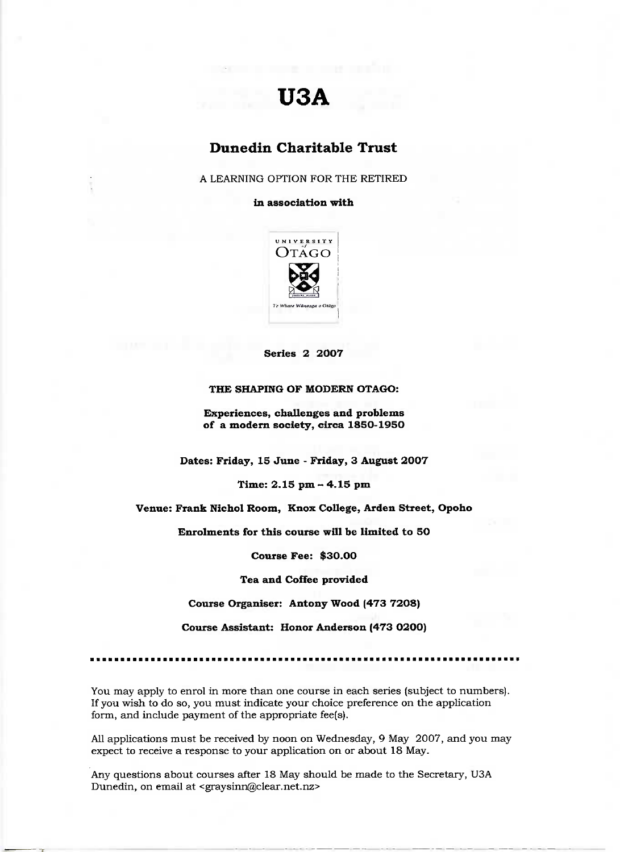# **USA**

# **Dunedin Charitable Trust**

A LEARNING OPTION FOR THE RETIRED

#### **in association with**



**Series 2 2007**

#### **THE SHAPING OF MODERN OTAGO:**

**Experiences, challenges and problems of a modern society, circa 185O-195O**

**Dates: Friday, 15 June - Friday, 3 August 2007**

Time: **2.15** pm - 4.15 pm

**Venue: Frank Nichol Room, Knox College, Arden Street, Opoho**

**Enrolments for this course will be limited to 50**

**Course Fee: \$30.00**

**Tea and Coffee provided**

**Course Organiser: Antony Wood (473 7208)**

**Course Assistant: Honor Anderson (473 0200)**

You may apply to enrol in more than one course in each series (subject to numbers). If you wish to do so, you must indicate your choice preference on the application form, and include payment of the appropriate fee(s).

All applications must be received by noon on Wednesday, 9 May 2007, and you may expect to receive a response to your application on or about 18 May.

Any questions about courses after 18 May should be made to the Secretary, USA Dunedin, on email at <graysinn@clear.net.nz>